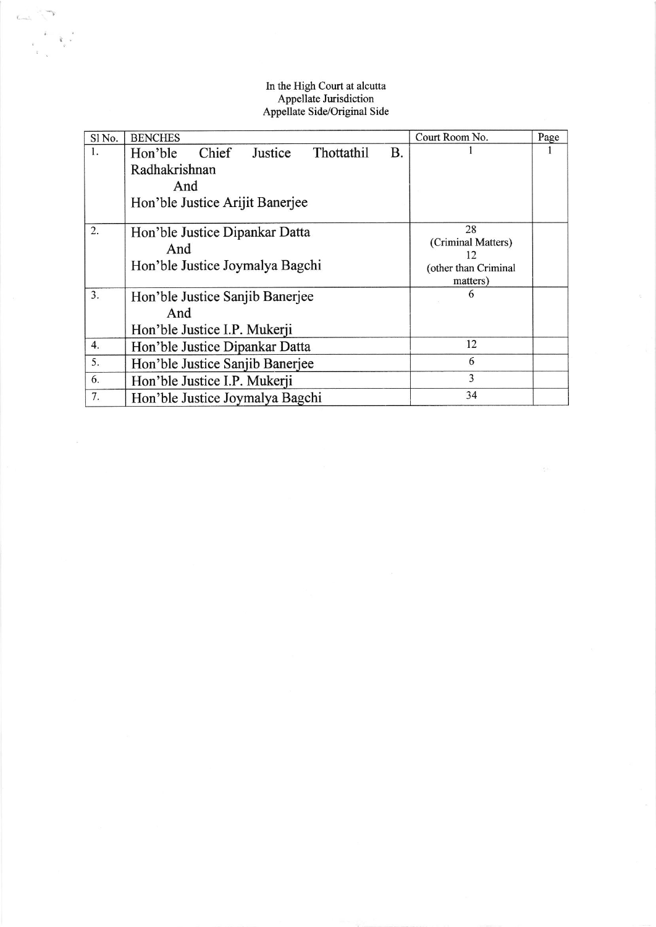## In the High Court at alcutta Appellate Jurisdiction Appellate Side/Original Side

| Sl No. | <b>BENCHES</b>                                  | Court Room No.           | Page |
|--------|-------------------------------------------------|--------------------------|------|
| 1.     | Chief<br>Justice<br>Thottathil<br>Β.<br>Hon'ble |                          |      |
|        | Radhakrishnan                                   |                          |      |
|        | And                                             |                          |      |
|        | Hon'ble Justice Arijit Banerjee                 |                          |      |
|        |                                                 |                          |      |
| 2.     | Hon'ble Justice Dipankar Datta                  | 28                       |      |
|        | And                                             | (Criminal Matters)<br>12 |      |
|        | Hon'ble Justice Joymalya Bagchi                 | (other than Criminal     |      |
|        |                                                 | matters)                 |      |
| 3.     | Hon'ble Justice Sanjib Banerjee                 | 6                        |      |
|        | And                                             |                          |      |
|        | Hon'ble Justice I.P. Mukerji                    |                          |      |
| 4.     | Hon'ble Justice Dipankar Datta                  | 12                       |      |
| 5.     | Hon'ble Justice Sanjib Banerjee                 | 6                        |      |
| 6.     | Hon'ble Justice I.P. Mukerji                    | 3                        |      |
| 7.     | Hon'ble Justice Joymalya Bagchi                 | 34                       |      |